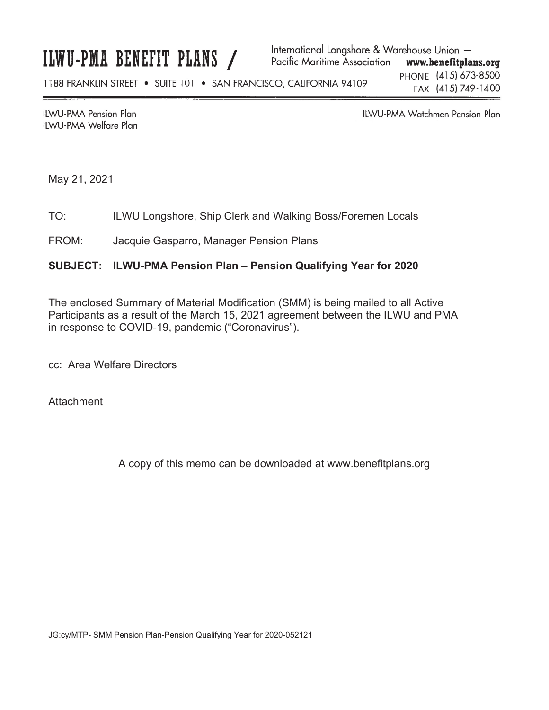# ILWU-PMA BENEFIT PLANS /

**ILWU-PMA Pension Plan ILWU-PMA Welfare Plan**  ILWU-PMA Watchmen Pension Plan

May 21, 2021

TO: ILWU Longshore, Ship Clerk and Walking Boss/Foremen Locals

FROM: Jacquie Gasparro, Manager Pension Plans

# **SUBJECT: ILWU-PMA Pension Plan – Pension Qualifying Year for 2020**

The enclosed Summary of Material Modification (SMM) is being mailed to all Active Participants as a result of the March 15, 2021 agreement between the ILWU and PMA in response to COVID-19, pandemic ("Coronavirus").

cc: Area Welfare Directors

**Attachment** 

A copy of this memo can be downloaded at www.benefitplans.org

JG:cy/MTP- SMM Pension Plan-Pension Qualifying Year for 2020-052121